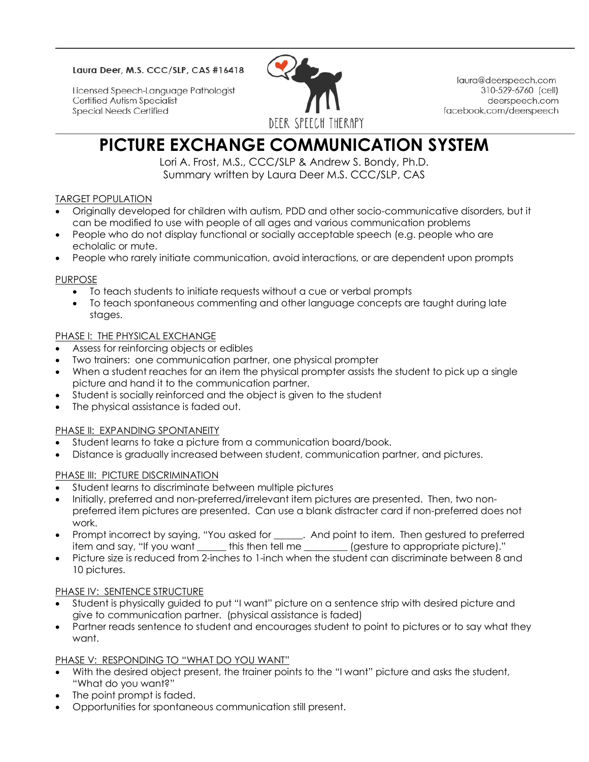#### Laura Deer, M.S. CCC/SLP, CAS #16418

Licensed Speech-Language Pathologist Certified Autism Specialist **Special Needs Certified** 



laura@deerspeech.com 310-529-6760 (cell) deerspeech.com facebook.com/deerspeech

# **PICTURE EXCHANGE COMMUNICATION SYSTEM**

Lori A. Frost, M.S., CCC/SLP & Andrew S. Bondy, Ph.D. Summary written by Laura Deer M.S. CCC/SLP, CAS

## TARGET POPULATION

- Originally developed for children with autism, PDD and other socio-communicative disorders, but it can be modified to use with people of all ages and various communication problems
- People who do not display functional or socially acceptable speech (e.g. people who are echolalic or mute.
- People who rarely initiate communication, avoid interactions, or are dependent upon prompts

## PURPOSE

- To teach students to initiate requests without a cue or verbal prompts
- To teach spontaneous commenting and other language concepts are taught during late stages.

## PHASE I: THE PHYSICAL EXCHANGE

- Assess for reinforcing objects or edibles
- Two trainers: one communication partner, one physical prompter
- When a student reaches for an item the physical prompter assists the student to pick up a single picture and hand it to the communication partner.
- Student is socially reinforced and the object is given to the student
- The physical assistance is faded out.

# PHASE II: EXPANDING SPONTANEITY

- Student learns to take a picture from a communication board/book.
- Distance is gradually increased between student, communication partner, and pictures.

#### PHASE III: PICTURE DISCRIMINATION

- Student learns to discriminate between multiple pictures
- Initially, preferred and non-preferred/irrelevant item pictures are presented. Then, two nonpreferred item pictures are presented. Can use a blank distracter card if non-preferred does not work.
- Prompt incorrect by saying, "You asked for \_\_\_\_\_\_. And point to item. Then gestured to preferred item and say, "If you want this then tell me (gesture to appropriate picture)."
- Picture size is reduced from 2-inches to 1-inch when the student can discriminate between 8 and 10 pictures.

#### PHASE IV: SENTENCE STRUCTURE

- Student is physically guided to put "I want" picture on a sentence strip with desired picture and give to communication partner. (physical assistance is faded)
- Partner reads sentence to student and encourages student to point to pictures or to say what they want.

# PHASE V: RESPONDING TO "WHAT DO YOU WANT"

- With the desired object present, the trainer points to the "I want" picture and asks the student, "What do you want?"
- The point prompt is faded.
- Opportunities for spontaneous communication still present.